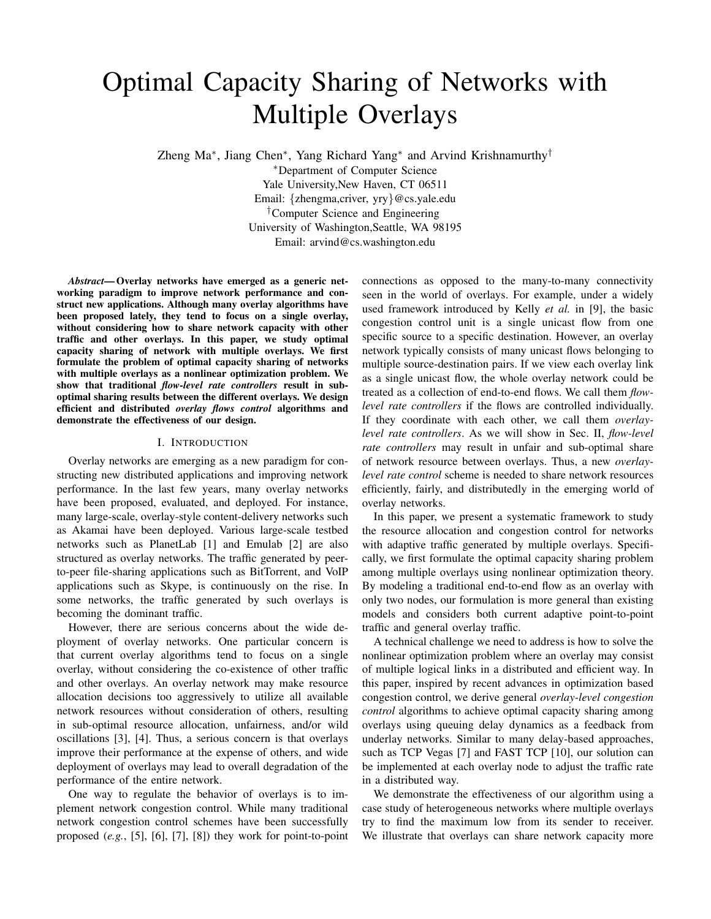# Optimal Capacity Sharing of Networks with Multiple Overlays

Zheng Ma∗, Jiang Chen∗, Yang Richard Yang<sup>∗</sup> and Arvind Krishnamurthy†

<sup>∗</sup>Department of Computer Science Yale University,New Haven, CT 06511 Email: {zhengma,criver, yry}@cs.yale.edu †Computer Science and Engineering University of Washington,Seattle, WA 98195 Email: arvind@cs.washington.edu

*Abstract***— Overlay networks have emerged as a generic networking paradigm to improve network performance and construct new applications. Although many overlay algorithms have been proposed lately, they tend to focus on a single overlay, without considering how to share network capacity with other traffic and other overlays. In this paper, we study optimal capacity sharing of network with multiple overlays. We first formulate the problem of optimal capacity sharing of networks with multiple overlays as a nonlinear optimization problem. We show that traditional** *flow-level rate controllers* **result in suboptimal sharing results between the different overlays. We design efficient and distributed** *overlay flows control* **algorithms and demonstrate the effectiveness of our design.**

## I. INTRODUCTION

Overlay networks are emerging as a new paradigm for constructing new distributed applications and improving network performance. In the last few years, many overlay networks have been proposed, evaluated, and deployed. For instance, many large-scale, overlay-style content-delivery networks such as Akamai have been deployed. Various large-scale testbed networks such as PlanetLab [1] and Emulab [2] are also structured as overlay networks. The traffic generated by peerto-peer file-sharing applications such as BitTorrent, and VoIP applications such as Skype, is continuously on the rise. In some networks, the traffic generated by such overlays is becoming the dominant traffic.

However, there are serious concerns about the wide deployment of overlay networks. One particular concern is that current overlay algorithms tend to focus on a single overlay, without considering the co-existence of other traffic and other overlays. An overlay network may make resource allocation decisions too aggressively to utilize all available network resources without consideration of others, resulting in sub-optimal resource allocation, unfairness, and/or wild oscillations [3], [4]. Thus, a serious concern is that overlays improve their performance at the expense of others, and wide deployment of overlays may lead to overall degradation of the performance of the entire network.

One way to regulate the behavior of overlays is to implement network congestion control. While many traditional network congestion control schemes have been successfully proposed (*e.g.*, [5], [6], [7], [8]) they work for point-to-point connections as opposed to the many-to-many connectivity seen in the world of overlays. For example, under a widely used framework introduced by Kelly *et al.* in [9], the basic congestion control unit is a single unicast flow from one specific source to a specific destination. However, an overlay network typically consists of many unicast flows belonging to multiple source-destination pairs. If we view each overlay link as a single unicast flow, the whole overlay network could be treated as a collection of end-to-end flows. We call them *flowlevel rate controllers* if the flows are controlled individually. If they coordinate with each other, we call them *overlaylevel rate controllers*. As we will show in Sec. II, *flow-level rate controllers* may result in unfair and sub-optimal share of network resource between overlays. Thus, a new *overlaylevel rate control* scheme is needed to share network resources efficiently, fairly, and distributedly in the emerging world of overlay networks.

In this paper, we present a systematic framework to study the resource allocation and congestion control for networks with adaptive traffic generated by multiple overlays. Specifically, we first formulate the optimal capacity sharing problem among multiple overlays using nonlinear optimization theory. By modeling a traditional end-to-end flow as an overlay with only two nodes, our formulation is more general than existing models and considers both current adaptive point-to-point traffic and general overlay traffic.

A technical challenge we need to address is how to solve the nonlinear optimization problem where an overlay may consist of multiple logical links in a distributed and efficient way. In this paper, inspired by recent advances in optimization based congestion control, we derive general *overlay-level congestion control* algorithms to achieve optimal capacity sharing among overlays using queuing delay dynamics as a feedback from underlay networks. Similar to many delay-based approaches, such as TCP Vegas [7] and FAST TCP [10], our solution can be implemented at each overlay node to adjust the traffic rate in a distributed way.

We demonstrate the effectiveness of our algorithm using a case study of heterogeneous networks where multiple overlays try to find the maximum low from its sender to receiver. We illustrate that overlays can share network capacity more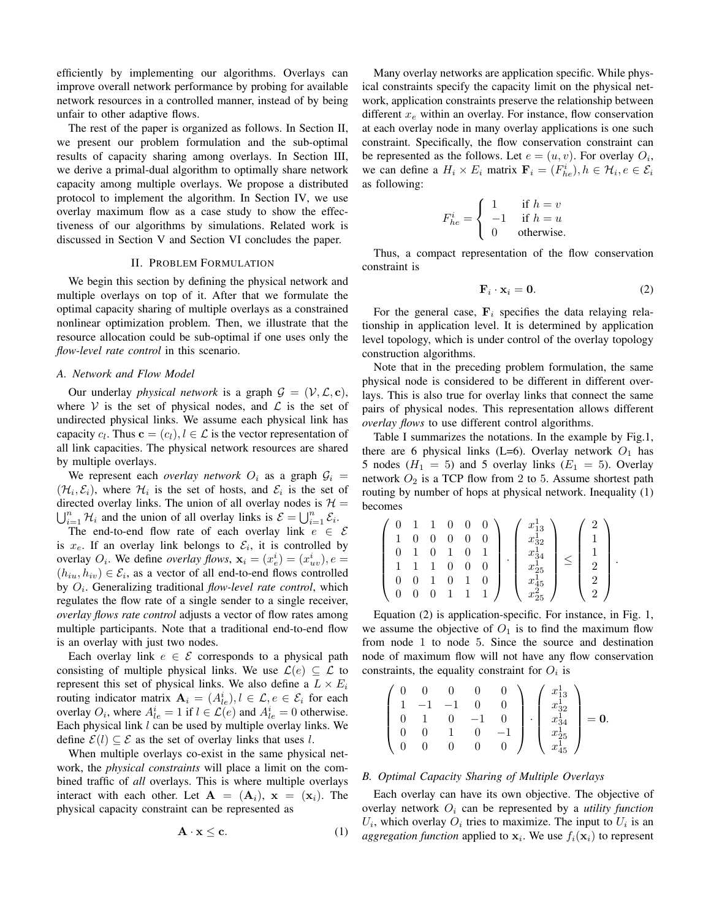efficiently by implementing our algorithms. Overlays can improve overall network performance by probing for available network resources in a controlled manner, instead of by being unfair to other adaptive flows.

The rest of the paper is organized as follows. In Section II, we present our problem formulation and the sub-optimal results of capacity sharing among overlays. In Section III, we derive a primal-dual algorithm to optimally share network capacity among multiple overlays. We propose a distributed protocol to implement the algorithm. In Section IV, we use overlay maximum flow as a case study to show the effectiveness of our algorithms by simulations. Related work is discussed in Section V and Section VI concludes the paper.

# II. PROBLEM FORMULATION

We begin this section by defining the physical network and multiple overlays on top of it. After that we formulate the optimal capacity sharing of multiple overlays as a constrained nonlinear optimization problem. Then, we illustrate that the resource allocation could be sub-optimal if one uses only the *flow-level rate control* in this scenario.

## *A. Network and Flow Model*

Our underlay *physical network* is a graph  $G = (\mathcal{V}, \mathcal{L}, \mathbf{c})$ , where V is the set of physical nodes, and  $\mathcal L$  is the set of undirected physical links. We assume each physical link has capacity  $c_l$ . Thus  $\mathbf{c} = (c_l)$ ,  $l \in \mathcal{L}$  is the vector representation of all link capacities. The physical network resources are shared by multiple overlays.

We represent each *overlay network*  $O_i$  as a graph  $G_i$  =  $(\mathcal{H}_i, \mathcal{E}_i)$ , where  $\mathcal{H}_i$  is the set of hosts, and  $\mathcal{E}_i$  is the set of directed overlay links. The union of all overlay nodes is  $\mathcal{H} =$ directed overlay links. The union of all overlay nodes is  $\mathcal{H} = \bigcup_{i=1}^n \mathcal{H}_i$  and the union of all overlay links is  $\mathcal{E} = \bigcup_{i=1}^n \mathcal{E}_i$ .<br>The end-to-end flow rate of each overlay link  $e \in \mathcal{E}$ 

The end-to-end flow rate of each overlay link  $e \in \mathcal{E}$ is  $x_e$ . If an overlay link belongs to  $\mathcal{E}_i$ , it is controlled by overlay  $O_i$ . We define *overlay flows*,  $\mathbf{x}_i = (x_e^i) = (x_{uv}^i)$ ,  $e = (h_i, h_j) \in \mathcal{E}_i$ , as a vector of all end-to-end flows controlled  $(h_{iu}, h_{iv}) \in \mathcal{E}_i$ , as a vector of all end-to-end flows controlled by  $O_i$ . Generalizing traditional *flow-level rate control*, which regulates the flow rate of a single sender to a single receiver, *overlay flows rate control* adjusts a vector of flow rates among multiple participants. Note that a traditional end-to-end flow is an overlay with just two nodes.

Each overlay link  $e \in \mathcal{E}$  corresponds to a physical path consisting of multiple physical links. We use  $\mathcal{L}(e) \subseteq \mathcal{L}$  to represent this set of physical links. We also define a  $L \times E_i$ routing indicator matrix  $\mathbf{A}_i = (A_{ie}^i), l \in \mathcal{L}, e \in \mathcal{E}_i$  for each overlay  $\Omega$ , where  $A^i = 1$  if  $l \in \mathcal{L}(e)$  and  $A^i = 0$  otherwise overlay  $O_i$ , where  $A_{le}^i = 1$  if  $l \in \mathcal{L}(e)$  and  $A_{le}^i = 0$  otherwise.<br>Each physical link *l* can be used by multiple overlay links. We Each physical link  $l$  can be used by multiple overlay links. We define  $\mathcal{E}(l) \subseteq \mathcal{E}$  as the set of overlay links that uses l.

When multiple overlays co-exist in the same physical network, the *physical constraints* will place a limit on the combined traffic of *all* overlays. This is where multiple overlays interact with each other. Let  $A = (A_i)$ ,  $x = (x_i)$ . The physical capacity constraint can be represented as

$$
\mathbf{A} \cdot \mathbf{x} \le \mathbf{c}.\tag{1}
$$

Many overlay networks are application specific. While physical constraints specify the capacity limit on the physical network, application constraints preserve the relationship between different  $x_e$  within an overlay. For instance, flow conservation at each overlay node in many overlay applications is one such constraint. Specifically, the flow conservation constraint can be represented as the follows. Let  $e = (u, v)$ . For overlay  $O_i$ , we can define a  $H_i \times E_i$  matrix  $\mathbf{F}_i = (F_{he}^i), h \in \mathcal{H}_i, e \in \mathcal{E}_i$ <br>as following: as following:

$$
F_{he}^{i} = \begin{cases} 1 & \text{if } h = v \\ -1 & \text{if } h = u \\ 0 & \text{otherwise.} \end{cases}
$$

Thus, a compact representation of the flow conservation constraint is

$$
\mathbf{F}_i \cdot \mathbf{x}_i = \mathbf{0}.\tag{2}
$$

For the general case,  $\mathbf{F}_i$  specifies the data relaying relationship in application level. It is determined by application level topology, which is under control of the overlay topology construction algorithms.

Note that in the preceding problem formulation, the same physical node is considered to be different in different overlays. This is also true for overlay links that connect the same pairs of physical nodes. This representation allows different *overlay flows* to use different control algorithms.

Table I summarizes the notations. In the example by Fig.1, there are 6 physical links (L=6). Overlay network  $O_1$  has 5 nodes ( $H_1 = 5$ ) and 5 overlay links ( $E_1 = 5$ ). Overlay network  $O_2$  is a TCP flow from 2 to 5. Assume shortest path routing by number of hops at physical network. Inequality (1) becomes

$$
\left(\begin{array}{cccc} 0 & 1 & 1 & 0 & 0 & 0 \\ 1 & 0 & 0 & 0 & 0 & 0 \\ 0 & 1 & 0 & 1 & 0 & 1 \\ 1 & 1 & 1 & 0 & 0 & 0 \\ 0 & 0 & 1 & 0 & 1 & 0 \\ 0 & 0 & 0 & 1 & 1 & 1 \end{array}\right) \cdot \left(\begin{array}{c} x_{13}^1 \\ x_{32}^1 \\ x_{34}^1 \\ x_{25}^1 \\ x_{45}^1 \\ x_{25}^2 \end{array}\right) \leq \left(\begin{array}{c} 2 \\ 1 \\ 1 \\ 2 \\ 2 \\ 2 \end{array}\right).
$$

Equation (2) is application-specific. For instance, in Fig. 1, we assume the objective of  $O_1$  is to find the maximum flow from node 1 to node 5. Since the source and destination node of maximum flow will not have any flow conservation constraints, the equality constraint for  $O_i$  is

$$
\left(\begin{array}{cccc} 0 & 0 & 0 & 0 & 0 \\ 1 & -1 & -1 & 0 & 0 \\ 0 & 1 & 0 & -1 & 0 \\ 0 & 0 & 1 & 0 & -1 \\ 0 & 0 & 0 & 0 & 0 \end{array}\right) \cdot \left(\begin{array}{c} x_{13}^1 \\ x_{32}^1 \\ x_{34}^1 \\ x_{45}^1 \end{array}\right) = \mathbf{0}.
$$

# *B. Optimal Capacity Sharing of Multiple Overlays*

Each overlay can have its own objective. The objective of overlay network  $O_i$  can be represented by a *utility function*  $U_i$ , which overlay  $O_i$  tries to maximize. The input to  $U_i$  is an *aggregation function* applied to  $\mathbf{x}_i$ . We use  $f_i(\mathbf{x}_i)$  to represent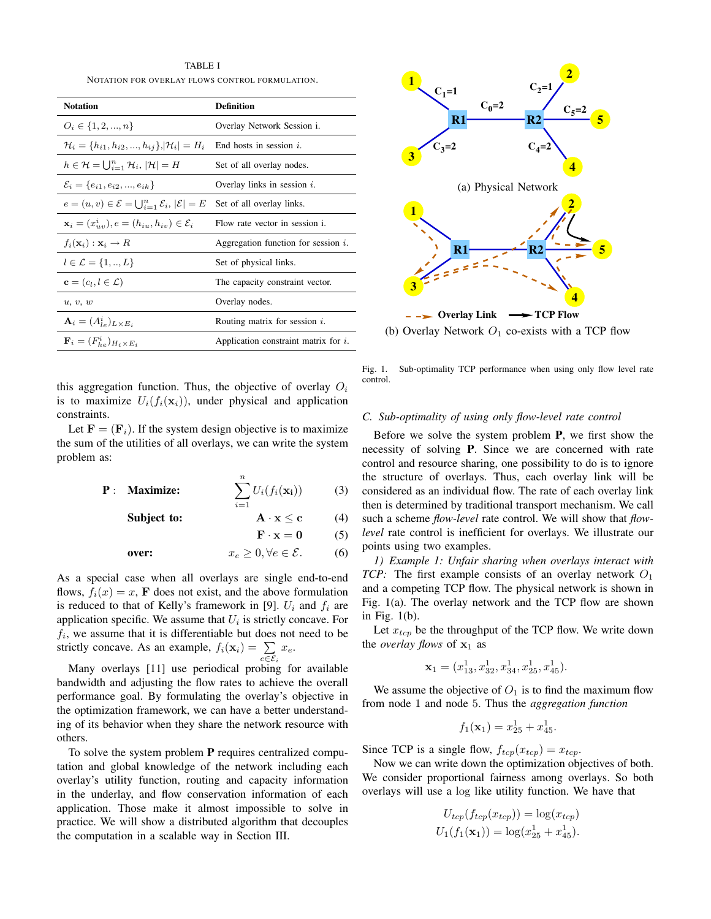TABLE I NOTATION FOR OVERLAY FLOWS CONTROL FORMULATION.

| <b>Notation</b>                                                        | <b>Definition</b>                       |
|------------------------------------------------------------------------|-----------------------------------------|
| $O_i \in \{1, 2, , n\}$                                                | Overlay Network Session i.              |
| $\mathcal{H}_i = \{h_{i1}, h_{i2}, , h_{ij}\},  \mathcal{H}_i  = H_i$  | End hosts in session $i$ .              |
| $h \in \mathcal{H} = \bigcup_{i=1}^n \mathcal{H}_i,  \mathcal{H}  = H$ | Set of all overlay nodes.               |
| $\mathcal{E}_i = \{e_{i1}, e_{i2}, , e_{ik}\}\$                        | Overlay links in session $i$ .          |
| $e=(u,v)\in\mathcal{E}=\bigcup_{i=1}^n\mathcal{E}_i,  \mathcal{E} =E$  | Set of all overlay links.               |
| $\mathbf{x}_i = (x_{uv}^i), e = (h_{iu}, h_{iv}) \in \mathcal{E}_i$    | Flow rate vector in session i.          |
| $f_i(\mathbf{x}_i): \mathbf{x}_i \to R$                                | Aggregation function for session $i$ .  |
| $l \in \mathcal{L} = \{1, , L\}$                                       | Set of physical links.                  |
| $\mathbf{c} = (c_l, l \in \mathcal{L})$                                | The capacity constraint vector.         |
| u, v, w                                                                | Overlay nodes.                          |
| $\mathbf{A}_i = (A_{I_e}^i)_{L \times E_i}$                            | Routing matrix for session $i$ .        |
| $\mathbf{F}_i = (F_{he}^i)_{H_i \times E_i}$                           | Application constraint matrix for $i$ . |

this aggregation function. Thus, the objective of overlay  $O_i$ is to maximize  $U_i(f_i(\mathbf{x}_i))$ , under physical and application constraints.

Let  $\mathbf{F} = (\mathbf{F}_i)$ . If the system design objective is to maximize the sum of the utilities of all overlays, we can write the system problem as:

$$
\mathbf{P}: \quad \mathbf{Maximize:} \qquad \qquad \sum_{i=1}^{n} U_i(f_i(\mathbf{x_i})) \qquad \qquad (3)
$$

**Subject to:**  $A \cdot x \le c$  (4)

 $\mathbf{F} \cdot \mathbf{x} = \mathbf{0}$  (5)

$$
\text{over:} \qquad \qquad x_e \ge 0, \forall e \in \mathcal{E}. \tag{6}
$$

As a special case when all overlays are single end-to-end flows,  $f_i(x) = x$ , **F** does not exist, and the above formulation is reduced to that of Kelly's framework in [9].  $U_i$  and  $f_i$  are application specific. We assume that  $U_i$  is strictly concave. For  $f_i$ , we assume that it is differentiable but does not need to be strictly concave. As an example,  $f_i(\mathbf{x}_i) = \sum_{e \in \mathcal{E}_i}$  $x_e$ .

Many overlays [11] use periodical probing for available bandwidth and adjusting the flow rates to achieve the overall performance goal. By formulating the overlay's objective in the optimization framework, we can have a better understanding of its behavior when they share the network resource with others.

To solve the system problem **P** requires centralized computation and global knowledge of the network including each overlay's utility function, routing and capacity information in the underlay, and flow conservation information of each application. Those make it almost impossible to solve in practice. We will show a distributed algorithm that decouples the computation in a scalable way in Section III.



(b) Overlay Network  $O_1$  co-exists with a TCP flow

Fig. 1. Sub-optimality TCP performance when using only flow level rate control.

## *C. Sub-optimality of using only flow-level rate control*

Before we solve the system problem **P**, we first show the necessity of solving **P**. Since we are concerned with rate control and resource sharing, one possibility to do is to ignore the structure of overlays. Thus, each overlay link will be considered as an individual flow. The rate of each overlay link then is determined by traditional transport mechanism. We call such a scheme *flow-level* rate control. We will show that *flowlevel* rate control is inefficient for overlays. We illustrate our points using two examples.

*1) Example 1: Unfair sharing when overlays interact with TCP:* The first example consists of an overlay network  $O_1$ and a competing TCP flow. The physical network is shown in Fig. 1(a). The overlay network and the TCP flow are shown in Fig. 1(b).

Let  $x_{tcp}$  be the throughput of the TCP flow. We write down the *overlay flows* of  $x_1$  as

$$
\mathbf{x}_1 = (x_{13}^1, x_{32}^1, x_{34}^1, x_{25}^1, x_{45}^1).
$$

We assume the objective of  $O_1$  is to find the maximum flow from node 1 and node 5. Thus the *aggregation function*

$$
f_1(\mathbf{x}_1) = x_{25}^1 + x_{45}^1.
$$

Since TCP is a single flow,  $f_{tcp}(x_{tcp}) = x_{tcp}$ .

Now we can write down the optimization objectives of both. We consider proportional fairness among overlays. So both overlays will use a log like utility function. We have that

$$
U_{tcp}(f_{tcp}(x_{tcp})) = \log(x_{tcp})
$$
  

$$
U_1(f_1(\mathbf{x}_1)) = \log(x_{25}^1 + x_{45}^1).
$$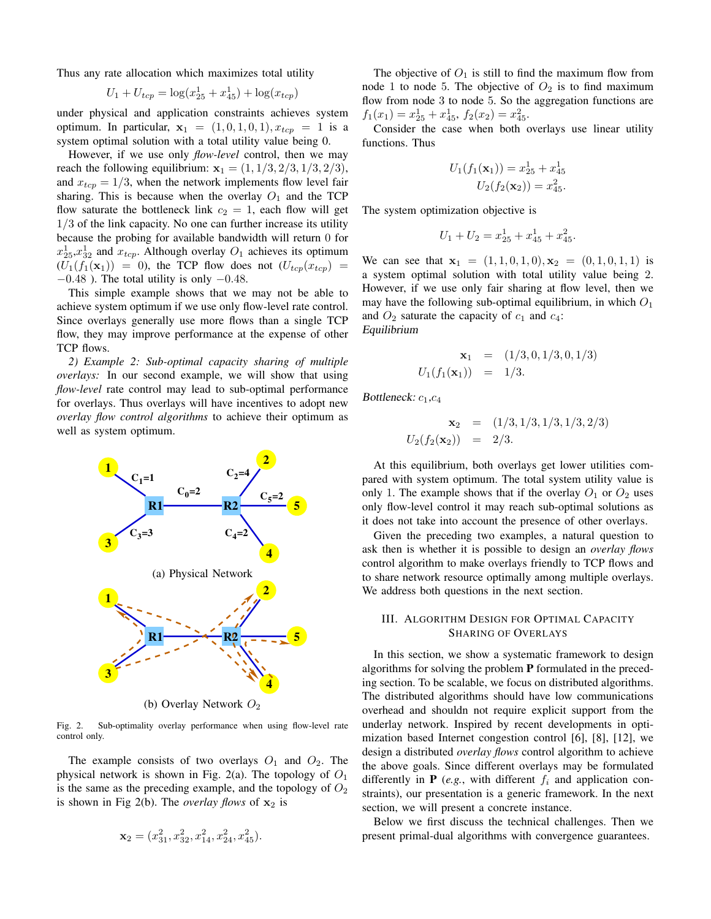Thus any rate allocation which maximizes total utility

$$
U_1 + U_{tcp} = \log(x_{25}^1 + x_{45}^1) + \log(x_{tcp})
$$

under physical and application constraints achieves system optimum. In particular,  $\mathbf{x}_1 = (1, 0, 1, 0, 1), x_{tcp} = 1$  is a system optimal solution with a total utility value being 0.

However, if we use only *flow-level* control, then we may reach the following equilibrium:  $x_1 = (1, 1/3, 2/3, 1/3, 2/3)$ , and  $x_{tcp} = 1/3$ , when the network implements flow level fair sharing. This is because when the overlay  $O_1$  and the TCP flow saturate the bottleneck link  $c_2 = 1$ , each flow will get 1/3 of the link capacity. No one can further increase its utility because the probing for available bandwidth will return 0 for  $x_{25}^1, x_{32}^1$  and  $x_{top}$ . Although overlay  $O_1$  achieves its optimum  $(U_1(f_1(\mathbf{x}_1)) = 0)$ , the TCP flow does not  $(U_{tcp}(x_{tcp})) =$  $-0.48$  ). The total utility is only  $-0.48$ .

This simple example shows that we may not be able to achieve system optimum if we use only flow-level rate control. Since overlays generally use more flows than a single TCP flow, they may improve performance at the expense of other TCP flows.

*2) Example 2: Sub-optimal capacity sharing of multiple overlays:* In our second example, we will show that using *flow-level* rate control may lead to sub-optimal performance for overlays. Thus overlays will have incentives to adopt new *overlay flow control algorithms* to achieve their optimum as well as system optimum.



(b) Overlay Network  $O<sub>2</sub>$ 

Fig. 2. Sub-optimality overlay performance when using flow-level rate control only.

The example consists of two overlays  $O_1$  and  $O_2$ . The physical network is shown in Fig. 2(a). The topology of  $O_1$ is the same as the preceding example, and the topology of  $O_2$ is shown in Fig 2(b). The *overlay flows* of  $x_2$  is

$$
\mathbf{x}_2 = (x_{31}^2, x_{32}^2, x_{14}^2, x_{24}^2, x_{45}^2).
$$

The objective of  $O_1$  is still to find the maximum flow from node 1 to node 5. The objective of  $O_2$  is to find maximum flow from node 3 to node 5. So the aggregation functions are  $f_1(x_1) = x_{25}^1 + x_{45}^1$ ,  $f_2(x_2) = x_{45}^2$ .<br>Consider the case when both  $\epsilon$ 

Consider the case when both overlays use linear utility functions. Thus

$$
U_1(f_1(\mathbf{x}_1)) = x_{25}^1 + x_{45}^1
$$
  

$$
U_2(f_2(\mathbf{x}_2)) = x_{45}^2.
$$

The system optimization objective is

$$
U_1 + U_2 = x_{25}^1 + x_{45}^1 + x_{45}^2.
$$

We can see that  $\mathbf{x}_1 = (1, 1, 0, 1, 0), \mathbf{x}_2 = (0, 1, 0, 1, 1)$  is a system optimal solution with total utility value being 2. However, if we use only fair sharing at flow level, then we may have the following sub-optimal equilibrium, in which  $O_1$ and  $O_2$  saturate the capacity of  $c_1$  and  $c_4$ : Equilibrium

$$
\mathbf{x}_1 = (1/3, 0, 1/3, 0, 1/3)
$$
  

$$
U_1(f_1(\mathbf{x}_1)) = 1/3.
$$

Bottleneck:  $c_1,c_4$ 

$$
\mathbf{x}_2 = (1/3, 1/3, 1/3, 1/3, 2/3)
$$
  

$$
U_2(f_2(\mathbf{x}_2)) = 2/3.
$$

At this equilibrium, both overlays get lower utilities compared with system optimum. The total system utility value is only 1. The example shows that if the overlay  $O_1$  or  $O_2$  uses only flow-level control it may reach sub-optimal solutions as it does not take into account the presence of other overlays.

Given the preceding two examples, a natural question to ask then is whether it is possible to design an *overlay flows* control algorithm to make overlays friendly to TCP flows and to share network resource optimally among multiple overlays. We address both questions in the next section.

# III. ALGORITHM DESIGN FOR OPTIMAL CAPACITY SHARING OF OVERLAYS

In this section, we show a systematic framework to design algorithms for solving the problem **P** formulated in the preceding section. To be scalable, we focus on distributed algorithms. The distributed algorithms should have low communications overhead and shouldn not require explicit support from the underlay network. Inspired by recent developments in optimization based Internet congestion control [6], [8], [12], we design a distributed *overlay flows* control algorithm to achieve the above goals. Since different overlays may be formulated differently in  $P$  (*e.g.*, with different  $f_i$  and application constraints), our presentation is a generic framework. In the next section, we will present a concrete instance.

Below we first discuss the technical challenges. Then we present primal-dual algorithms with convergence guarantees.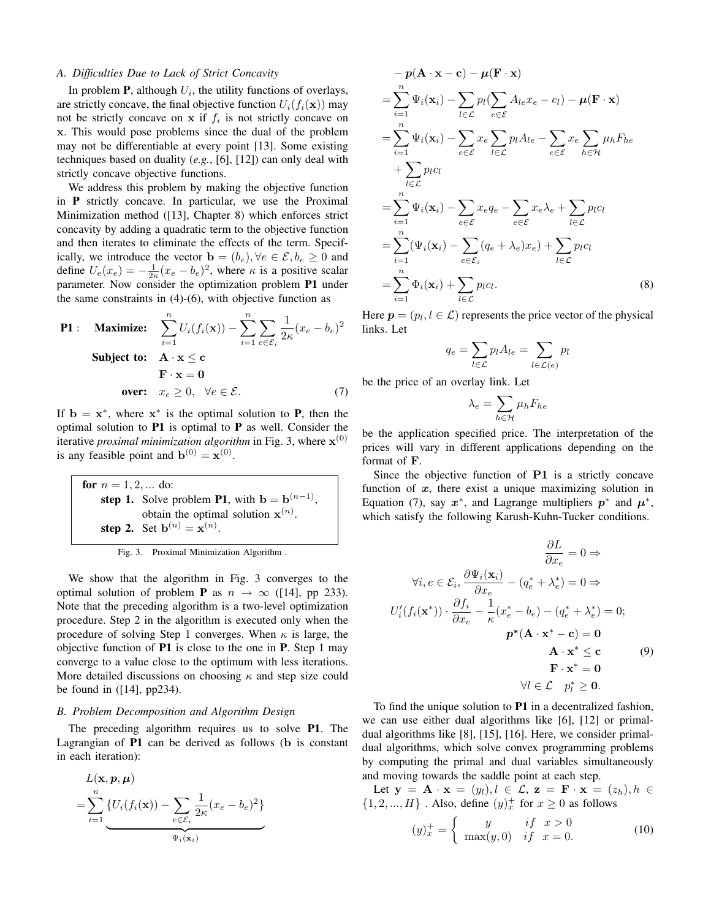# *A. Difficulties Due to Lack of Strict Concavity*

In problem  $P$ , although  $U_i$ , the utility functions of overlays, are strictly concave, the final objective function  $U_i(f_i(\mathbf{x}))$  may not be strictly concave on **x** if  $f_i$  is not strictly concave on **x**. This would pose problems since the dual of the problem may not be differentiable at every point [13]. Some existing techniques based on duality (*e.g.*, [6], [12]) can only deal with strictly concave objective functions.

We address this problem by making the objective function in **P** strictly concave. In particular, we use the Proximal Minimization method ([13], Chapter 8) which enforces strict concavity by adding a quadratic term to the objective function and then iterates to eliminate the effects of the term. Specifically, we introduce the vector  $\mathbf{b} = (b_e)$ ,  $\forall e \in \mathcal{E}, b_e \geq 0$  and define  $U_e(x_e) = -\frac{1}{2\kappa}(x_e - b_e)^2$ , where  $\kappa$  is a positive scalar<br>parameter. Now consider the optimization problem **P1** under parameter. Now consider the optimization problem **P1** under the same constraints in  $(4)-(6)$ , with objective function as

P1: Maximize: 
$$
\sum_{i=1}^{n} U_i(f_i(\mathbf{x})) - \sum_{i=1}^{n} \sum_{e \in \mathcal{E}_i} \frac{1}{2\kappa} (x_e - b_e)^2
$$
  
Subject to:  $\mathbf{A} \cdot \mathbf{x} \le \mathbf{c}$   
 $\mathbf{F} \cdot \mathbf{x} = \mathbf{0}$   
over:  $x_e \ge 0$ ,  $\forall e \in \mathcal{E}$ . (7)

If  $\mathbf{b} = \mathbf{x}^*$ , where  $\mathbf{x}^*$  is the optimal solution to **P**, then the optimal solution to **P1** is optimal to **P** as well. Consider the iterative *proximal minimization algorithm* in Fig. 3, where  $\mathbf{x}^{(0)}$ is any feasible point and  $\mathbf{b}^{(0)} = \mathbf{x}^{(0)}$ .

**for**  $n = 1, 2, ...$  do: **step 1.** Solve problem **P1**, with **b** =  $\mathbf{b}^{(n-1)}$ , obtain the optimal solution  $\mathbf{x}^{(n)}$ . **step 2.** Set  $b^{(n)} = x^{(n)}$ .

Fig. 3. Proximal Minimization Algorithm .

We show that the algorithm in Fig. 3 converges to the optimal solution of problem **P** as  $n \to \infty$  ([14], pp 233). Note that the preceding algorithm is a two-level optimization procedure. Step 2 in the algorithm is executed only when the procedure of solving Step 1 converges. When  $\kappa$  is large, the objective function of **P1** is close to the one in **P**. Step 1 may converge to a value close to the optimum with less iterations. More detailed discussions on choosing  $\kappa$  and step size could be found in ([14], pp234).

## *B. Problem Decomposition and Algorithm Design*

The preceding algorithm requires us to solve **P1**. The Lagrangian of **P1** can be derived as follows (**b** is constant in each iteration):

$$
L(\mathbf{x}, p, \boldsymbol{\mu})
$$
  
= 
$$
\sum_{i=1}^{n} \{ U_i(f_i(\mathbf{x})) - \sum_{e \in \mathcal{E}_i} \frac{1}{2\kappa} (x_e - b_e)^2 \}
$$
  

$$
\Psi_i(\mathbf{x}_i)
$$

$$
-p(\mathbf{A} \cdot \mathbf{x} - \mathbf{c}) - \mu(\mathbf{F} \cdot \mathbf{x})
$$
  
\n
$$
= \sum_{i=1}^{n} \Psi_i(\mathbf{x}_i) - \sum_{l \in \mathcal{L}} p_l (\sum_{e \in \mathcal{E}} A_{le} x_e - c_l) - \mu(\mathbf{F} \cdot \mathbf{x})
$$
  
\n
$$
= \sum_{i=1}^{n} \Psi_i(\mathbf{x}_i) - \sum_{e \in \mathcal{E}} x_e \sum_{l \in \mathcal{L}} p_l A_{le} - \sum_{e \in \mathcal{E}} x_e \sum_{h \in \mathcal{H}} \mu_h F_{he}
$$
  
\n
$$
+ \sum_{l \in \mathcal{L}} p_l c_l
$$
  
\n
$$
= \sum_{i=1}^{n} \Psi_i(\mathbf{x}_i) - \sum_{e \in \mathcal{E}} x_e q_e - \sum_{e \in \mathcal{E}} x_e \lambda_e + \sum_{l \in \mathcal{L}} p_l c_l
$$
  
\n
$$
= \sum_{i=1}^{n} (\Psi_i(\mathbf{x}_i) - \sum_{e \in \mathcal{E}_i} (q_e + \lambda_e) x_e) + \sum_{l \in \mathcal{L}} p_l c_l
$$
  
\n
$$
= \sum_{i=1}^{n} \Phi_i(\mathbf{x}_i) + \sum_{l \in \mathcal{L}} p_l c_l.
$$
 (8)

Here  $p = (p_l, l \in \mathcal{L})$  represents the price vector of the physical links. Let

$$
q_e = \sum_{l \in \mathcal{L}} p_l A_{le} = \sum_{l \in \mathcal{L}(e)} p_l
$$

be the price of an overlay link. Let

$$
\lambda_e = \sum_{h \in \mathcal{H}} \mu_h F_{he}
$$

be the application specified price. The interpretation of the prices will vary in different applications depending on the format of **F**.

Since the objective function of **P1** is a strictly concave function of *x*, there exist a unique maximizing solution in Equation (7), say  $x^*$ , and Lagrange multipliers  $p^*$  and  $\mu^*$ , which satisfy the following Karush-Kuhn-Tucker conditions.

$$
\frac{\partial L}{\partial x_e} = 0 \Rightarrow
$$
  
\n
$$
\forall i, e \in \mathcal{E}_i, \frac{\partial \Psi_i(\mathbf{x}_i)}{\partial x_e} - (q_e^* + \lambda_e^*) = 0 \Rightarrow
$$
  
\n
$$
U_i'(f_i(\mathbf{x}^*)) \cdot \frac{\partial f_i}{\partial x_e} - \frac{1}{\kappa} (x_e^* - b_e) - (q_e^* + \lambda_e^*) = 0;
$$
  
\n
$$
\mathbf{p}^*(\mathbf{A} \cdot \mathbf{x}^* - \mathbf{c}) = \mathbf{0}
$$
  
\n
$$
\mathbf{A} \cdot \mathbf{x}^* \le \mathbf{c}
$$
  
\n
$$
\mathbf{F} \cdot \mathbf{x}^* = \mathbf{0}
$$
  
\n
$$
\forall l \in \mathcal{L} \quad p_l^* \ge \mathbf{0}.
$$

To find the unique solution to **P1** in a decentralized fashion, we can use either dual algorithms like [6], [12] or primaldual algorithms like [8], [15], [16]. Here, we consider primaldual algorithms, which solve convex programming problems by computing the primal and dual variables simultaneously and moving towards the saddle point at each step.

Let  $\mathbf{y} = \mathbf{A} \cdot \mathbf{x} = (y_l), l \in \mathcal{L}, \mathbf{z} = \mathbf{F} \cdot \mathbf{x} = (z_h), h \in$  $\{1, 2, ..., H\}$ . Also, define  $(y)_x^+$  for  $x \ge 0$  as follows

$$
(y)_x^+ = \begin{cases} y & \text{if } x > 0\\ \max(y, 0) & \text{if } x = 0. \end{cases}
$$
 (10)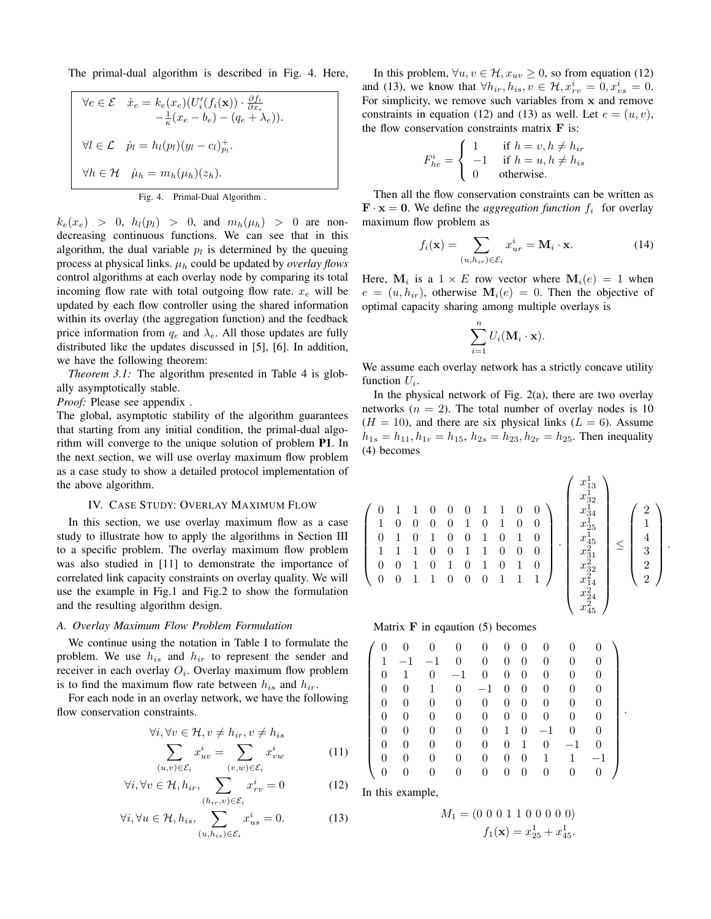The primal-dual algorithm is described in Fig. 4. Here,

$$
\forall e \in \mathcal{E} \quad \dot{x}_e = k_e(x_e)(U_i'(f_i(\mathbf{x})) \cdot \frac{\partial f_i}{\partial x_e} - \frac{1}{\kappa}(x_e - b_e) - (q_e + \lambda_e)).
$$
  

$$
\forall l \in \mathcal{L} \quad \dot{p}_l = h_l(p_l)(y_l - c_l)_{p_l}^+.
$$
  

$$
\forall h \in \mathcal{H} \quad \dot{\mu}_h = m_h(\mu_h)(z_h).
$$
  
Fig. 4. Primal-Dual Algorithm .

 $k_e(x_e) > 0$ ,  $h_l(p_l) > 0$ , and  $m_h(\mu_h) > 0$  are nondecreasing continuous functions. We can see that in this algorithm, the dual variable  $p_l$  is determined by the queuing process at physical links.  $\mu_h$  could be updated by *overlay flows* control algorithms at each overlay node by comparing its total incoming flow rate with total outgoing flow rate.  $x_e$  will be updated by each flow controller using the shared information within its overlay (the aggregation function) and the feedback price information from  $q_e$  and  $\lambda_e$ . All those updates are fully distributed like the updates discussed in [5], [6]. In addition, we have the following theorem:

*Theorem 3.1:* The algorithm presented in Table 4 is globally asymptotically stable.

*Proof:* Please see appendix .

The global, asymptotic stability of the algorithm guarantees that starting from any initial condition, the primal-dual algorithm will converge to the unique solution of problem **P1**. In the next section, we will use overlay maximum flow problem as a case study to show a detailed protocol implementation of the above algorithm.

## IV. CASE STUDY: OVERLAY MAXIMUM FLOW

In this section, we use overlay maximum flow as a case study to illustrate how to apply the algorithms in Section III to a specific problem. The overlay maximum flow problem was also studied in [11] to demonstrate the importance of correlated link capacity constraints on overlay quality. We will use the example in Fig.1 and Fig.2 to show the formulation and the resulting algorithm design.

# *A. Overlay Maximum Flow Problem Formulation*

We continue using the notation in Table I to formulate the problem. We use  $h_{is}$  and  $h_{ir}$  to represent the sender and receiver in each overlay  $O_i$ . Overlay maximum flow problem is to find the maximum flow rate between  $h_{is}$  and  $h_{ir}$ .

For each node in an overlay network, we have the following flow conservation constraints.

$$
\forall i, \forall v \in \mathcal{H}, v \neq h_{ir}, v \neq h_{is}
$$

$$
\sum_{(u,v) \in \mathcal{E}_i} x_{uv}^i = \sum_{(v,w) \in \mathcal{E}_i} x_{vw}^i
$$
(11)

$$
\forall i, \forall v \in \mathcal{H}, h_{ir}, \sum_{(h_{ir}, v) \in \mathcal{E}_i} x_{rv}^i = 0 \tag{12}
$$

$$
\forall i, \forall u \in \mathcal{H}, h_{is}, \sum_{(u, h_{is}) \in \mathcal{E}_i} x_{us}^i = 0.
$$
 (13)

In this problem,  $\forall u, v \in \mathcal{H}$ ,  $x_{uv} \geq 0$ , so from equation (12) and (13), we know that  $\forall h_{ir}, h_{is}, v \in \mathcal{H}, x_{rv}^i = 0, x_{vs}^i = 0$ .<br>For simplicity, we remove such variables from x and remove For simplicity, we remove such variables from **x** and remove constraints in equation (12) and (13) as well. Let  $e = (u, v)$ , the flow conservation constraints matrix **F** is:

$$
F_{he}^{i} = \begin{cases} 1 & \text{if } h = v, h \neq h_{ir} \\ -1 & \text{if } h = u, h \neq h_{is} \\ 0 & \text{otherwise.} \end{cases}
$$

Then all the flow conservation constraints can be written as  $\mathbf{F} \cdot \mathbf{x} = \mathbf{0}$ . We define the *aggregation function*  $f_i$  for overlay maximum flow problem as

$$
f_i(\mathbf{x}) = \sum_{(u, h_{ir}) \in \mathcal{E}_i} x_{ur}^i = \mathbf{M}_i \cdot \mathbf{x}.
$$
 (14)

Here,  $M_i$  is a  $1 \times E$  row vector where  $M_i(e) = 1$  when  $e = (u, h_{ir})$ , otherwise  $\mathbf{M}_i(e) = 0$ . Then the objective of optimal capacity sharing among multiple overlays is

$$
\sum_{i=1}^n U_i(\mathbf{M}_i \cdot \mathbf{x}).
$$

We assume each overlay network has a strictly concave utility function  $U_i$ .

In the physical network of Fig.  $2(a)$ , there are two overlay networks ( $n = 2$ ). The total number of overlay nodes is 10  $(H = 10)$ , and there are six physical links  $(L = 6)$ . Assume  $h_{1s} = h_{11}, h_{1r} = h_{15}, h_{2s} = h_{23}, h_{2r} = h_{25}$ . Then inequality (4) becomes

$$
\left(\begin{array}{cccccc} 0 & 1 & 1 & 0 & 0 & 0 & 1 & 1 & 0 & 0 \\ 1 & 0 & 0 & 0 & 0 & 1 & 0 & 1 & 0 & 0 \\ 0 & 1 & 0 & 1 & 0 & 0 & 1 & 0 & 1 & 0 \\ 1 & 1 & 1 & 0 & 0 & 1 & 1 & 0 & 0 & 0 \\ 0 & 0 & 1 & 0 & 1 & 0 & 1 & 0 & 1 & 0 \\ 0 & 0 & 1 & 1 & 0 & 0 & 0 & 1 & 1 & 1 \end{array}\right) \cdot \left(\begin{array}{c} x_{13}^1 \\ x_{32}^1 \\ x_{24}^1 \\ x_{45}^2 \\ x_{31}^2 \\ x_{42}^2 \\ x_{44}^2 \\ x_{45}^2 \\ x_{45}^2 \end{array}\right) \leq \left(\begin{array}{c} 2 \\ 1 \\ 1 \\ 3 \\ 2 \\ 2 \\ x_{14}^2 \\ x_{24}^2 \\ x_{45}^2 \end{array}\right)
$$

.

.

Matrix **F** in eqaution (5) becomes

| 0                | $\theta$ | $\theta$ | $\theta$       | $\theta$       | $\overline{0}$ | $\overline{0}$   | $\overline{0}$ |              |          |
|------------------|----------|----------|----------------|----------------|----------------|------------------|----------------|--------------|----------|
| 1                | $-1$     | $-1$     | $\theta$       | $\theta$       | $\theta$       | $\overline{0}$   | $\theta$       | 0            | 0        |
| $\Omega$         | 1        | $\theta$ | $-1$           | $\overline{0}$ | $\theta$       | $\overline{0}$   | $\theta$       | 0            | $\theta$ |
| $\Omega$         | $\theta$ | 1        | $\theta$       | $-1$           | $\overline{0}$ | $\theta$         | $\theta$       | $\theta$     | $\theta$ |
| 0                | $\theta$ | $\theta$ | $\theta$       | $\theta$       | $\theta$       | $\overline{0}$   | $\theta$       | 0            | $\theta$ |
| 0                | $\theta$ | $\theta$ | $\theta$       | $\theta$       | $\theta$       | $\overline{0}$   | $\theta$       | 0            | $\theta$ |
| 0                | $\theta$ | 0        | 0              | 0              | $\mathbf{1}$   | $\theta$         | $-1$           | 0            | 0        |
| $\Omega$         | $\theta$ | $\theta$ | $\theta$       | $\theta$       | $\theta$       | $\mathbf{1}$     | $\theta$       | $^{-1}$      | $\theta$ |
| 0                | $\theta$ | 0        | $\theta$       | 0              | $\overline{0}$ | $\theta$         | 1              | $\mathbf{1}$ | $-1$     |
| $\boldsymbol{0}$ | 0        | 0        | $\overline{0}$ | 0              | $\overline{0}$ | $\boldsymbol{0}$ | 0              | 0            | 0        |
|                  |          |          |                |                |                |                  |                |              |          |

In this example,

$$
M_1 = (0 \ 0 \ 0 \ 1 \ 1 \ 0 \ 0 \ 0 \ 0 \ 0)
$$

$$
f_1(\mathbf{x}) = x_{25}^1 + x_{45}^1.
$$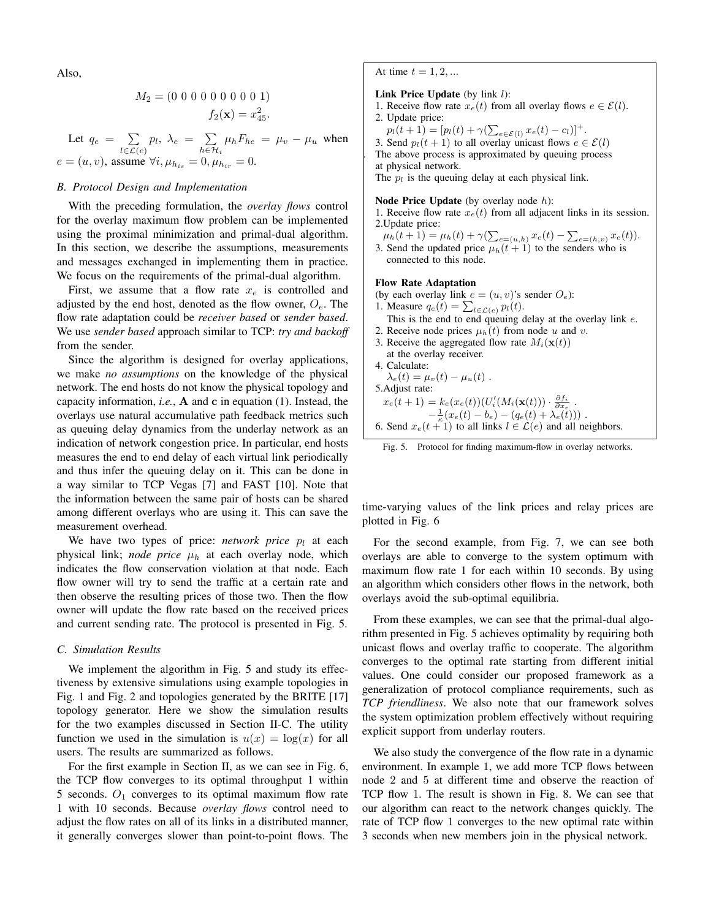Also,

$$
M_2 = (0\ 0\ 0\ 0\ 0\ 0\ 0\ 0\ 1)
$$
  

$$
f_2(\mathbf{x}) = x_{45}^2.
$$

Let  $q_e = \sum_{l \in \mathcal{L}(e)} p_l$ ,  $\lambda_e = \sum_{h \in \mathcal{H}_i} \mu_h F_{he} = \mu_v - \mu_u$  when  $e = (u, v)$ , assume  $\forall i, \mu_{h_{is}} = 0, \mu_{h_{ir}} = 0$ .

# *B. Protocol Design and Implementation*

With the preceding formulation, the *overlay flows* control for the overlay maximum flow problem can be implemented using the proximal minimization and primal-dual algorithm. In this section, we describe the assumptions, measurements and messages exchanged in implementing them in practice. We focus on the requirements of the primal-dual algorithm.

First, we assume that a flow rate  $x_e$  is controlled and adjusted by the end host, denoted as the flow owner,  $O_e$ . The flow rate adaptation could be *receiver based* or *sender based*. We use *sender based* approach similar to TCP: *try and backoff* from the sender.

Since the algorithm is designed for overlay applications, we make *no assumptions* on the knowledge of the physical network. The end hosts do not know the physical topology and capacity information, *i.e.*, **A** and **c** in equation (1). Instead, the overlays use natural accumulative path feedback metrics such as queuing delay dynamics from the underlay network as an indication of network congestion price. In particular, end hosts measures the end to end delay of each virtual link periodically and thus infer the queuing delay on it. This can be done in a way similar to TCP Vegas [7] and FAST [10]. Note that the information between the same pair of hosts can be shared among different overlays who are using it. This can save the measurement overhead.

We have two types of price:  $network$  price  $p_l$  at each physical link; *node price*  $\mu_h$  at each overlay node, which indicates the flow conservation violation at that node. Each flow owner will try to send the traffic at a certain rate and then observe the resulting prices of those two. Then the flow owner will update the flow rate based on the received prices and current sending rate. The protocol is presented in Fig. 5.

# *C. Simulation Results*

We implement the algorithm in Fig. 5 and study its effectiveness by extensive simulations using example topologies in Fig. 1 and Fig. 2 and topologies generated by the BRITE [17] topology generator. Here we show the simulation results for the two examples discussed in Section II-C. The utility function we used in the simulation is  $u(x) = \log(x)$  for all users. The results are summarized as follows.

For the first example in Section II, as we can see in Fig. 6, the TCP flow converges to its optimal throughput 1 within 5 seconds.  $O_1$  converges to its optimal maximum flow rate 1 with 10 seconds. Because *overlay flows* control need to adjust the flow rates on all of its links in a distributed manner, it generally converges slower than point-to-point flows. The At time  $t = 1, 2, ...$ 

#### **Link Price Update** (by link l):

- 1. Receive flow rate  $x_e(t)$  from all overlay flows  $e \in \mathcal{E}(l)$ . 2. Update price:
- $p_l(t + 1) = [p_l(t) + \gamma(\sum_{e \in \mathcal{E}(l)} x_e(t) c_l)]^+.$ 3. Send  $p_l(t + 1)$  to all overlay unicast flows  $e \in \mathcal{E}(l)$ . The above process is approximated by queuing process at physical network.

The  $p_l$  is the queuing delay at each physical link.

#### **Node Price Update** (by overlay node h):

1. Receive flow rate  $x_e(t)$  from all adjacent links in its session. 2.Update price:

 $\mu_h(t+1) = \mu_h(t) + \gamma(\sum_{e=(u,h)} x_e(t) - \sum_{e=(h,v)} x_e(t)).$ 

3. Send the updated price  $\mu_h(t+1)$  to the senders who is connected to this node.

# **Flow Rate Adaptation**

(by each overlay link  $e = (u, v)$ 's sender  $O_e$ ): 1. Measure  $q_e(t) = \sum_{l \in \mathcal{L}(e)} p_l(t)$ . This is the end to end queuing delay at the overlay link e. 2. Receive node prices  $\mu_h(t)$  from node u and v. 3. Receive the aggregated flow rate  $M_i(\mathbf{x}(t))$ at the overlay receiver. 4. Calculate:  $\lambda_e(t) = \mu_v(t) - \mu_u(t)$ . 5. Adjust rate:

$$
x_e(t+1) = k_e(x_e(t))(U_i'(M_i(\mathbf{x}(t))) \cdot \frac{\partial f_i}{\partial x_e}.
$$
  
\n
$$
-\frac{1}{\kappa}(x_e(t) - b_e) - (q_e(t) + \lambda_e(t)))
$$
.  
\n6. Send  $x_e(t+1)$  to all links  $l \in \mathcal{L}(e)$  and all neighbors.



time-varying values of the link prices and relay prices are plotted in Fig. 6

For the second example, from Fig. 7, we can see both overlays are able to converge to the system optimum with maximum flow rate 1 for each within 10 seconds. By using an algorithm which considers other flows in the network, both overlays avoid the sub-optimal equilibria.

From these examples, we can see that the primal-dual algorithm presented in Fig. 5 achieves optimality by requiring both unicast flows and overlay traffic to cooperate. The algorithm converges to the optimal rate starting from different initial values. One could consider our proposed framework as a generalization of protocol compliance requirements, such as *TCP friendliness*. We also note that our framework solves the system optimization problem effectively without requiring explicit support from underlay routers.

We also study the convergence of the flow rate in a dynamic environment. In example 1, we add more TCP flows between node 2 and 5 at different time and observe the reaction of TCP flow 1. The result is shown in Fig. 8. We can see that our algorithm can react to the network changes quickly. The rate of TCP flow 1 converges to the new optimal rate within 3 seconds when new members join in the physical network.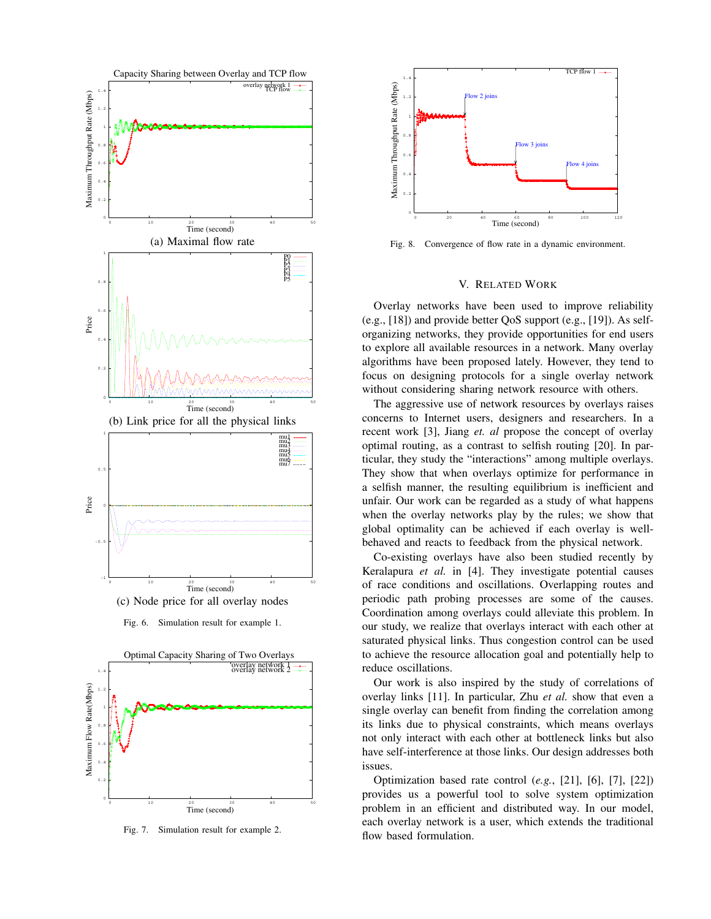

Fig. 6. Simulation result for example 1.



Fig. 7. Simulation result for example 2.



Fig. 8. Convergence of flow rate in a dynamic environment.

## V. RELATED WORK

Overlay networks have been used to improve reliability (e.g., [18]) and provide better QoS support (e.g., [19]). As selforganizing networks, they provide opportunities for end users to explore all available resources in a network. Many overlay algorithms have been proposed lately. However, they tend to focus on designing protocols for a single overlay network without considering sharing network resource with others.

The aggressive use of network resources by overlays raises concerns to Internet users, designers and researchers. In a recent work [3], Jiang *et. al* propose the concept of overlay optimal routing, as a contrast to selfish routing [20]. In particular, they study the "interactions" among multiple overlays. They show that when overlays optimize for performance in a selfish manner, the resulting equilibrium is inefficient and unfair. Our work can be regarded as a study of what happens when the overlay networks play by the rules; we show that global optimality can be achieved if each overlay is wellbehaved and reacts to feedback from the physical network.

Co-existing overlays have also been studied recently by Keralapura *et al.* in [4]. They investigate potential causes of race conditions and oscillations. Overlapping routes and periodic path probing processes are some of the causes. Coordination among overlays could alleviate this problem. In our study, we realize that overlays interact with each other at saturated physical links. Thus congestion control can be used to achieve the resource allocation goal and potentially help to reduce oscillations.

Our work is also inspired by the study of correlations of overlay links [11]. In particular, Zhu *et al.* show that even a single overlay can benefit from finding the correlation among its links due to physical constraints, which means overlays not only interact with each other at bottleneck links but also have self-interference at those links. Our design addresses both issues.

Optimization based rate control (*e.g.*, [21], [6], [7], [22]) provides us a powerful tool to solve system optimization problem in an efficient and distributed way. In our model, each overlay network is a user, which extends the traditional flow based formulation.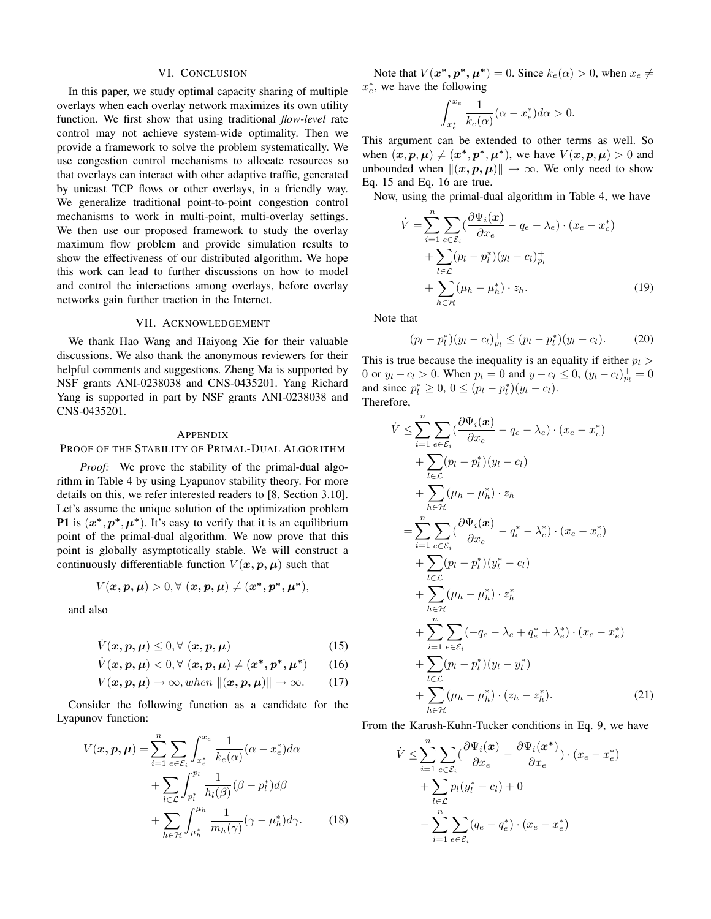#### VI. CONCLUSION

In this paper, we study optimal capacity sharing of multiple overlays when each overlay network maximizes its own utility function. We first show that using traditional *flow-level* rate control may not achieve system-wide optimality. Then we provide a framework to solve the problem systematically. We use congestion control mechanisms to allocate resources so that overlays can interact with other adaptive traffic, generated by unicast TCP flows or other overlays, in a friendly way. We generalize traditional point-to-point congestion control mechanisms to work in multi-point, multi-overlay settings. We then use our proposed framework to study the overlay maximum flow problem and provide simulation results to show the effectiveness of our distributed algorithm. We hope this work can lead to further discussions on how to model and control the interactions among overlays, before overlay networks gain further traction in the Internet.

# VII. ACKNOWLEDGEMENT

We thank Hao Wang and Haiyong Xie for their valuable discussions. We also thank the anonymous reviewers for their helpful comments and suggestions. Zheng Ma is supported by NSF grants ANI-0238038 and CNS-0435201. Yang Richard Yang is supported in part by NSF grants ANI-0238038 and CNS-0435201.

### APPENDIX

PROOF OF THE STABILITY OF PRIMAL-DUAL ALGORITHM

*Proof:* We prove the stability of the primal-dual algorithm in Table 4 by using Lyapunov stability theory. For more details on this, we refer interested readers to [8, Section 3.10]. Let's assume the unique solution of the optimization problem **P1** is  $(x^*, p^*, \mu^*)$ . It's easy to verify that it is an equilibrium point of the primal-dual algorithm. We now prove that this point is globally asymptotically stable. We will construct a continuously differentiable function  $V(x, p, \mu)$  such that

$$
V(\bm{x}, \bm{p}, \bm{\mu}) > 0, \forall (\bm{x}, \bm{p}, \bm{\mu}) \neq (\bm{x^*}, \bm{p^*}, \bm{\mu^*}),
$$

and also

$$
\dot{V}(x, p, \mu) \leq 0, \forall (x, p, \mu)
$$
\n(15)

$$
\dot{V}(x, p, \mu) < 0, \forall (x, p, \mu) \neq (x^*, p^*, \mu^*) \tag{16}
$$

$$
V(\boldsymbol{x},\boldsymbol{p},\boldsymbol{\mu})\to\infty, when \ \|(\boldsymbol{x},\boldsymbol{p},\boldsymbol{\mu})\|\to\infty. \qquad (17)
$$

Consider the following function as a candidate for the Lyapunov function:

$$
V(\boldsymbol{x}, \boldsymbol{p}, \boldsymbol{\mu}) = \sum_{i=1}^{n} \sum_{e \in \mathcal{E}_i} \int_{x_e^*}^{x_e} \frac{1}{k_e(\alpha)} (\alpha - x_e^*) d\alpha + \sum_{l \in \mathcal{L}} \int_{p_l^*}^{p_l} \frac{1}{h_l(\beta)} (\beta - p_l^*) d\beta + \sum_{h \in \mathcal{H}} \int_{\mu_h^*}^{\mu_h} \frac{1}{m_h(\gamma)} (\gamma - \mu_h^*) d\gamma.
$$
 (18)

Note that  $V(x^*, p^*, \mu^*) = 0$ . Since  $k_e(\alpha) > 0$ , when  $x_e \neq$  $x_e^*$ , we have the following

$$
\int_{x_e^*}^{x_e} \frac{1}{k_e(\alpha)} (\alpha - x_e^*) d\alpha > 0.
$$

This argument can be extended to other terms as well. So when  $(\boldsymbol{x}, \boldsymbol{p}, \boldsymbol{\mu}) \neq (\boldsymbol{x^*}, \boldsymbol{p^*}, \boldsymbol{\mu^*})$ , we have  $V(\boldsymbol{x}, \boldsymbol{p}, \boldsymbol{\mu}) > 0$  and unbounded when  $||(x, p, \mu)|| \to \infty$ . We only need to show Eq. 15 and Eq. 16 are true Eq. 15 and Eq. 16 are true.

Now, using the primal-dual algorithm in Table 4, we have

$$
\dot{V} = \sum_{i=1}^{n} \sum_{e \in \mathcal{E}_i} (\frac{\partial \Psi_i(\boldsymbol{x})}{\partial x_e} - q_e - \lambda_e) \cdot (x_e - x_e^*)
$$
  
+ 
$$
\sum_{l \in \mathcal{L}} (p_l - p_l^*)(y_l - c_l)_{p_l}^+
$$
  
+ 
$$
\sum_{h \in \mathcal{H}} (\mu_h - \mu_h^*) \cdot z_h.
$$
 (19)

Note that

$$
(p_l - p_l^*)(y_l - c_l)_{p_l}^+ \le (p_l - p_l^*)(y_l - c_l). \tag{20}
$$

This is true because the inequality is an equality if either  $p_l$ 0 or  $y_l - c_l > 0$ . When  $p_l = 0$  and  $y - c_l \le 0$ ,  $(y_l - c_l)^+_{p_l} = 0$ <br>and since  $n^* > 0$ ,  $0 \le (n_l - n^*)(u_l - c_l)$ . and since  $p_l^* \geq 0$ ,  $0 \leq (p_l - p_l^*)(y_l - c_l)$ .<br>Therefore Therefore,

$$
\dot{V} \leq \sum_{i=1}^{n} \sum_{e \in \mathcal{E}_i} (\frac{\partial \Psi_i(x)}{\partial x_e} - q_e - \lambda_e) \cdot (x_e - x_e^*)
$$
\n
$$
+ \sum_{l \in \mathcal{L}} (p_l - p_l^*)(y_l - c_l)
$$
\n
$$
+ \sum_{h \in \mathcal{H}} (\mu_h - \mu_h^*) \cdot z_h
$$
\n
$$
= \sum_{i=1}^{n} \sum_{e \in \mathcal{E}_i} (\frac{\partial \Psi_i(x)}{\partial x_e} - q_e^* - \lambda_e^*) \cdot (x_e - x_e^*)
$$
\n
$$
+ \sum_{l \in \mathcal{L}} (p_l - p_l^*)(y_l^* - c_l)
$$
\n
$$
+ \sum_{h \in \mathcal{H}} (\mu_h - \mu_h^*) \cdot z_h^*
$$
\n
$$
+ \sum_{i=1}^{n} \sum_{e \in \mathcal{E}_i} (-q_e - \lambda_e + q_e^* + \lambda_e^*) \cdot (x_e - x_e^*)
$$
\n
$$
+ \sum_{l \in \mathcal{L}} (p_l - p_l^*)(y_l - y_l^*)
$$
\n
$$
+ \sum_{h \in \mathcal{H}} (\mu_h - \mu_h^*) \cdot (z_h - z_h^*).
$$
\n(21)

From the Karush-Kuhn-Tucker conditions in Eq. 9, we have

$$
\dot{V} \leq \sum_{i=1}^{n} \sum_{e \in \mathcal{E}_i} \left( \frac{\partial \Psi_i(x)}{\partial x_e} - \frac{\partial \Psi_i(x^*)}{\partial x_e} \right) \cdot (x_e - x_e^*)
$$

$$
+ \sum_{l \in \mathcal{L}} p_l(y_l^* - c_l) + 0
$$

$$
- \sum_{i=1}^{n} \sum_{e \in \mathcal{E}_i} (q_e - q_e^*) \cdot (x_e - x_e^*)
$$